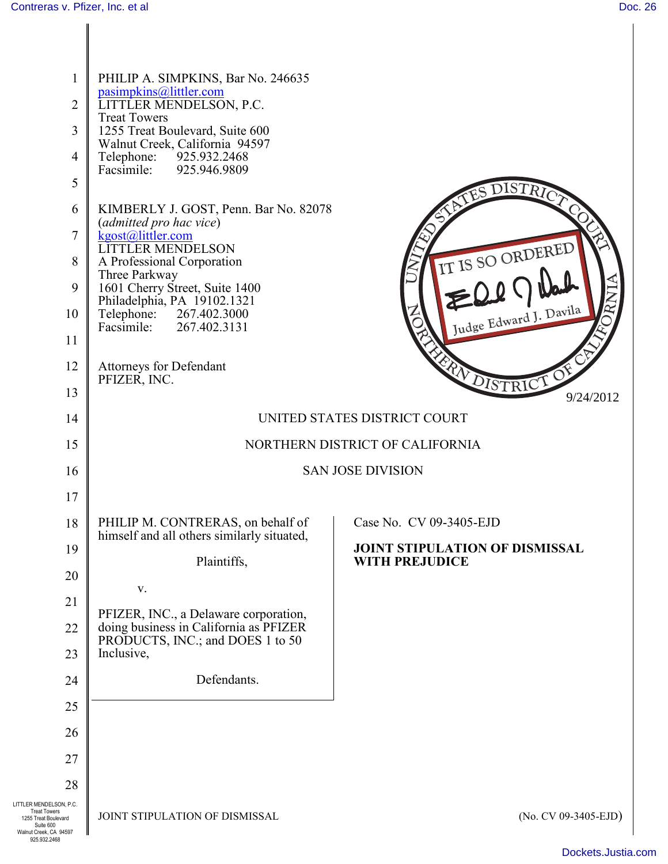$\overline{\phantom{a}}$ 

| $\mathbf{1}$<br>2<br>3<br>$\overline{4}$<br>5<br>6<br>7<br>8<br>9<br>10<br>11<br>12                                           | PHILIP A. SIMPKINS, Bar No. 246635<br>pasimpkins@littler.com<br>LITTLER MENDELSON, P.C.<br><b>Treat Towers</b><br>1255 Treat Boulevard, Suite 600<br>Walnut Creek, California 94597<br>Telephone: 925.932.2468<br>Facsimile: 925.946.9809<br>KIMBERLY J. GOST, Penn. Bar No. 82078<br>(admitted pro hac vice)<br>kgost@littler.com<br><b>LITTLER MENDELSON</b><br>A Professional Corporation<br>Three Parkway<br>1601 Cherry Street, Suite 1400<br>Philadelphia, PA 19102.1321<br>Telephone: 267.402.3000<br>Facsimile: 267.402.3131<br>Attorneys for Defendant | <b>ISTRIC</b><br>IT IS SO ORDERED<br>$R\mathbf{N}$<br>Judge Edward J. Davila |
|-------------------------------------------------------------------------------------------------------------------------------|-----------------------------------------------------------------------------------------------------------------------------------------------------------------------------------------------------------------------------------------------------------------------------------------------------------------------------------------------------------------------------------------------------------------------------------------------------------------------------------------------------------------------------------------------------------------|------------------------------------------------------------------------------|
| 13                                                                                                                            | PFIZER, INC.                                                                                                                                                                                                                                                                                                                                                                                                                                                                                                                                                    | <b>EXPLOISTRICT</b><br>9/24/2012                                             |
| 14                                                                                                                            | UNITED STATES DISTRICT COURT                                                                                                                                                                                                                                                                                                                                                                                                                                                                                                                                    |                                                                              |
| 15                                                                                                                            | NORTHERN DISTRICT OF CALIFORNIA                                                                                                                                                                                                                                                                                                                                                                                                                                                                                                                                 |                                                                              |
| 16                                                                                                                            | <b>SAN JOSE DIVISION</b>                                                                                                                                                                                                                                                                                                                                                                                                                                                                                                                                        |                                                                              |
| 17                                                                                                                            |                                                                                                                                                                                                                                                                                                                                                                                                                                                                                                                                                                 |                                                                              |
| 18                                                                                                                            | PHILIP M. CONTRERAS, on behalf of<br>himself and all others similarly situated,                                                                                                                                                                                                                                                                                                                                                                                                                                                                                 | Case No. CV 09-3405-EJD                                                      |
| 19                                                                                                                            | Plaintiffs,                                                                                                                                                                                                                                                                                                                                                                                                                                                                                                                                                     | <b>JOINT STIPULATION OF DISMISSAL</b><br><b>WITH PREJUDICE</b>               |
| 20                                                                                                                            | V.                                                                                                                                                                                                                                                                                                                                                                                                                                                                                                                                                              |                                                                              |
| 21                                                                                                                            | PFIZER, INC., a Delaware corporation,                                                                                                                                                                                                                                                                                                                                                                                                                                                                                                                           |                                                                              |
| 22                                                                                                                            | doing business in California as PFIZER<br>PRODUCTS, INC.; and DOES 1 to 50                                                                                                                                                                                                                                                                                                                                                                                                                                                                                      |                                                                              |
| 23                                                                                                                            | Inclusive,<br>Defendants.                                                                                                                                                                                                                                                                                                                                                                                                                                                                                                                                       |                                                                              |
| 24<br>25                                                                                                                      |                                                                                                                                                                                                                                                                                                                                                                                                                                                                                                                                                                 |                                                                              |
| 26                                                                                                                            |                                                                                                                                                                                                                                                                                                                                                                                                                                                                                                                                                                 |                                                                              |
| 27                                                                                                                            |                                                                                                                                                                                                                                                                                                                                                                                                                                                                                                                                                                 |                                                                              |
| 28                                                                                                                            |                                                                                                                                                                                                                                                                                                                                                                                                                                                                                                                                                                 |                                                                              |
| LITTLER MENDELSON, P.C.<br><b>Treat Towers</b><br>1255 Treat Boulevard<br>Suite 600<br>Walnut Creek, CA 94597<br>925.932.2468 | JOINT STIPULATION OF DISMISSAL                                                                                                                                                                                                                                                                                                                                                                                                                                                                                                                                  | (No. CV 09-3405-EJD)                                                         |